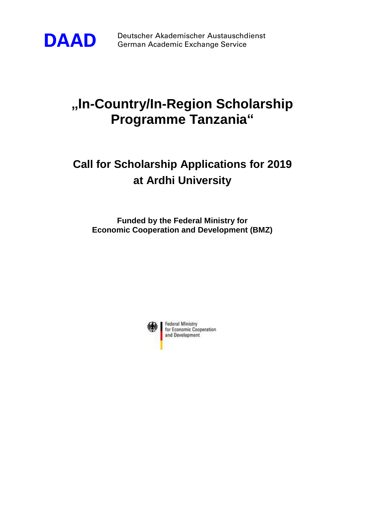

**DAAD** Deutscher Akademischer Austauschdienst<br>German Academic Exchange Service German Academic Exchange Service

## **"In-Country/In-Region Scholarship Programme Tanzania"**

## **Call for Scholarship Applications for 2019 at Ardhi University**

**Funded by the Federal Ministry for Economic Cooperation and Development (BMZ)**

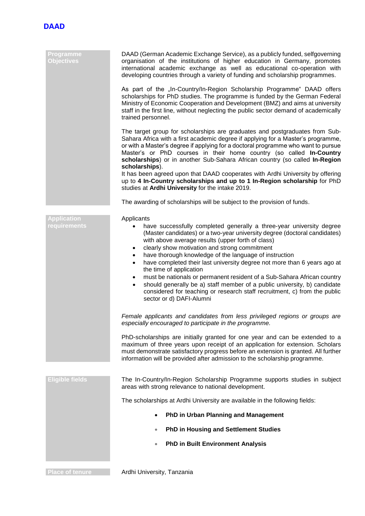

| <b>Programme</b><br><b>Objectives</b>     | DAAD (German Academic Exchange Service), as a publicly funded, selfgoverning<br>organisation of the institutions of higher education in Germany, promotes<br>international academic exchange as well as educational co-operation with<br>developing countries through a variety of funding and scholarship programmes.                                                                                                                                                                                                                                                                                                                                                                                                                                                  |
|-------------------------------------------|-------------------------------------------------------------------------------------------------------------------------------------------------------------------------------------------------------------------------------------------------------------------------------------------------------------------------------------------------------------------------------------------------------------------------------------------------------------------------------------------------------------------------------------------------------------------------------------------------------------------------------------------------------------------------------------------------------------------------------------------------------------------------|
|                                           | As part of the "In-Country/In-Region Scholarship Programme" DAAD offers<br>scholarships for PhD studies. The programme is funded by the German Federal<br>Ministry of Economic Cooperation and Development (BMZ) and aims at university<br>staff in the first line, without neglecting the public sector demand of academically<br>trained personnel.                                                                                                                                                                                                                                                                                                                                                                                                                   |
|                                           | The target group for scholarships are graduates and postgraduates from Sub-<br>Sahara Africa with a first academic degree if applying for a Master's programme,<br>or with a Master's degree if applying for a doctoral programme who want to pursue<br>Master's or PhD courses in their home country (so called In-Country<br>scholarships) or in another Sub-Sahara African country (so called In-Region<br>scholarships).<br>It has been agreed upon that DAAD cooperates with Ardhi University by offering                                                                                                                                                                                                                                                          |
|                                           | up to 4 In-Country scholarships and up to 1 In-Region scholarship for PhD<br>studies at Ardhi University for the intake 2019.                                                                                                                                                                                                                                                                                                                                                                                                                                                                                                                                                                                                                                           |
|                                           | The awarding of scholarships will be subject to the provision of funds.                                                                                                                                                                                                                                                                                                                                                                                                                                                                                                                                                                                                                                                                                                 |
| <b>Application</b><br><b>requirements</b> | Applicants<br>have successfully completed generally a three-year university degree<br>(Master candidates) or a two-year university degree (doctoral candidates)<br>with above average results (upper forth of class)<br>clearly show motivation and strong commitment<br>$\bullet$<br>have thorough knowledge of the language of instruction<br>$\bullet$<br>have completed their last university degree not more than 6 years ago at<br>$\bullet$<br>the time of application<br>must be nationals or permanent resident of a Sub-Sahara African country<br>$\bullet$<br>should generally be a) staff member of a public university, b) candidate<br>$\bullet$<br>considered for teaching or research staff recruitment, c) from the public<br>sector or d) DAFI-Alumni |
|                                           | Female applicants and candidates from less privileged regions or groups are<br>especially encouraged to participate in the programme.                                                                                                                                                                                                                                                                                                                                                                                                                                                                                                                                                                                                                                   |
|                                           | PhD-scholarships are initially granted for one year and can be extended to a<br>maximum of three years upon receipt of an application for extension. Scholars<br>must demonstrate satisfactory progress before an extension is granted. All further<br>information will be provided after admission to the scholarship programme.                                                                                                                                                                                                                                                                                                                                                                                                                                       |
| <b>Eligible fields</b>                    | The In-Country/In-Region Scholarship Programme supports studies in subject<br>areas with strong relevance to national development.                                                                                                                                                                                                                                                                                                                                                                                                                                                                                                                                                                                                                                      |
|                                           | The scholarships at Ardhi University are available in the following fields:                                                                                                                                                                                                                                                                                                                                                                                                                                                                                                                                                                                                                                                                                             |
|                                           | PhD in Urban Planning and Management                                                                                                                                                                                                                                                                                                                                                                                                                                                                                                                                                                                                                                                                                                                                    |
|                                           | <b>PhD in Housing and Settlement Studies</b>                                                                                                                                                                                                                                                                                                                                                                                                                                                                                                                                                                                                                                                                                                                            |
|                                           | <b>PhD in Built Environment Analysis</b>                                                                                                                                                                                                                                                                                                                                                                                                                                                                                                                                                                                                                                                                                                                                |
|                                           |                                                                                                                                                                                                                                                                                                                                                                                                                                                                                                                                                                                                                                                                                                                                                                         |

**Place of tenure Ardhi University, Tanzania**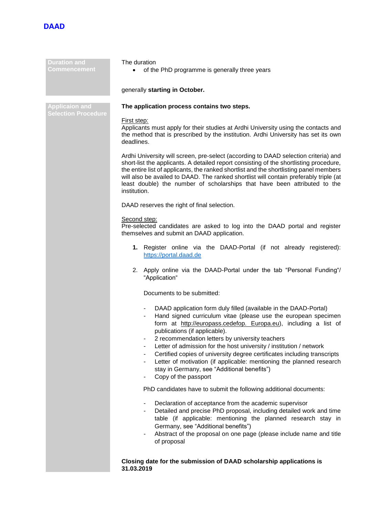

| <b>Duration and</b><br>Commencement                 | The duration<br>of the PhD programme is generally three years<br>generally starting in October.                                                                                                                                                                                                                                                                                                                                                                                                                                                                                              |  |
|-----------------------------------------------------|----------------------------------------------------------------------------------------------------------------------------------------------------------------------------------------------------------------------------------------------------------------------------------------------------------------------------------------------------------------------------------------------------------------------------------------------------------------------------------------------------------------------------------------------------------------------------------------------|--|
|                                                     |                                                                                                                                                                                                                                                                                                                                                                                                                                                                                                                                                                                              |  |
| <b>Applicaion and</b><br><b>Selection Procedure</b> | The application process contains two steps.                                                                                                                                                                                                                                                                                                                                                                                                                                                                                                                                                  |  |
|                                                     | First step:<br>Applicants must apply for their studies at Ardhi University using the contacts and<br>the method that is prescribed by the institution. Ardhi University has set its own<br>deadlines.                                                                                                                                                                                                                                                                                                                                                                                        |  |
|                                                     | Ardhi University will screen, pre-select (according to DAAD selection criteria) and<br>short-list the applicants. A detailed report consisting of the shortlisting procedure,<br>the entire list of applicants, the ranked shortlist and the shortlisting panel members<br>will also be availed to DAAD. The ranked shortlist will contain preferably triple (at<br>least double) the number of scholarships that have been attributed to the<br>institution.                                                                                                                                |  |
|                                                     | DAAD reserves the right of final selection.                                                                                                                                                                                                                                                                                                                                                                                                                                                                                                                                                  |  |
|                                                     | Second step:<br>Pre-selected candidates are asked to log into the DAAD portal and register<br>themselves and submit an DAAD application.                                                                                                                                                                                                                                                                                                                                                                                                                                                     |  |
|                                                     | 1. Register online via the DAAD-Portal (if not already registered):<br>https://portal.daad.de                                                                                                                                                                                                                                                                                                                                                                                                                                                                                                |  |
|                                                     | 2. Apply online via the DAAD-Portal under the tab "Personal Funding"/<br>"Application"                                                                                                                                                                                                                                                                                                                                                                                                                                                                                                       |  |
|                                                     | Documents to be submitted:                                                                                                                                                                                                                                                                                                                                                                                                                                                                                                                                                                   |  |
|                                                     | DAAD application form duly filled (available in the DAAD-Portal)<br>Hand signed curriculum vitae (please use the european specimen<br>form at http://europass.cedefop. Europa.eu), including a list of<br>publications (if applicable).<br>2 recommendation letters by university teachers<br>Letter of admission for the host university / institution / network<br>Certified copies of university degree certificates including transcripts<br>Letter of motivation (if applicable: mentioning the planned research<br>stay in Germany, see "Additional benefits")<br>Copy of the passport |  |
|                                                     | PhD candidates have to submit the following additional documents:                                                                                                                                                                                                                                                                                                                                                                                                                                                                                                                            |  |
|                                                     | Declaration of acceptance from the academic supervisor<br>Detailed and precise PhD proposal, including detailed work and time<br>table (if applicable: mentioning the planned research stay in<br>Germany, see "Additional benefits")<br>Abstract of the proposal on one page (please include name and title<br>$\blacksquare$<br>of proposal                                                                                                                                                                                                                                                |  |
|                                                     | Closing date for the submission of DAAD scholarship applications is<br>31.03.2019                                                                                                                                                                                                                                                                                                                                                                                                                                                                                                            |  |